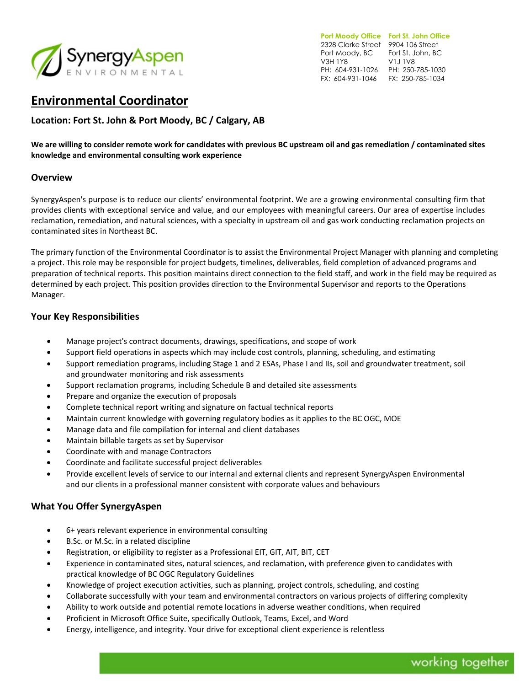

**Port Moody Office Fort St. John Office**  2328 Clarke Street 9904 106 Street Port Moody, BC Fort St. John, BC V3H 1Y8 PH: 604-931-1026 PH: 250-785-1030 FX: 604-931-1046 FX: 250-785-1034 V1J 1V8

# **Environmental Coordinator**

**Location: Fort St. John & Port Moody, BC / Calgary, AB**

**We are willing to consider remote work for candidates with previous BC upstream oil and gas remediation / contaminated sites knowledge and environmental consulting work experience**

### **Overview**

SynergyAspen's purpose is to reduce our clients' environmental footprint. We are a growing environmental consulting firm that provides clients with exceptional service and value, and our employees with meaningful careers. Our area of expertise includes reclamation, remediation, and natural sciences, with a specialty in upstream oil and gas work conducting reclamation projects on contaminated sites in Northeast BC.

The primary function of the Environmental Coordinator is to assist the Environmental Project Manager with planning and completing a project. This role may be responsible for project budgets, timelines, deliverables, field completion of advanced programs and preparation of technical reports. This position maintains direct connection to the field staff, and work in the field may be required as determined by each project. This position provides direction to the Environmental Supervisor and reports to the Operations Manager.

### **Your Key Responsibilities**

- Manage project's contract documents, drawings, specifications, and scope of work
- Support field operations in aspects which may include cost controls, planning, scheduling, and estimating
- Support remediation programs, including Stage 1 and 2 ESAs, Phase I and IIs, soil and groundwater treatment, soil and groundwater monitoring and risk assessments
- Support reclamation programs, including Schedule B and detailed site assessments
- Prepare and organize the execution of proposals
- Complete technical report writing and signature on factual technical reports
- Maintain current knowledge with governing regulatory bodies as it applies to the BC OGC, MOE
- Manage data and file compilation for internal and client databases
- Maintain billable targets as set by Supervisor
- Coordinate with and manage Contractors
- Coordinate and facilitate successful project deliverables
- Provide excellent levels of service to our internal and external clients and represent SynergyAspen Environmental and our clients in a professional manner consistent with corporate values and behaviours

# **What You Offer SynergyAspen**

- 6+ years relevant experience in environmental consulting
- B.Sc. or M.Sc. in a related discipline
- Registration, or eligibility to register as a Professional EIT, GIT, AIT, BIT, CET
- Experience in contaminated sites, natural sciences, and reclamation, with preference given to candidates with practical knowledge of BC OGC Regulatory Guidelines
- Knowledge of project execution activities, such as planning, project controls, scheduling, and costing
- Collaborate successfully with your team and environmental contractors on various projects of differing complexity
- Ability to work outside and potential remote locations in adverse weather conditions, when required
- Proficient in Microsoft Office Suite, specifically Outlook, Teams, Excel, and Word
- Energy, intelligence, and integrity. Your drive for exceptional client experience is relentless